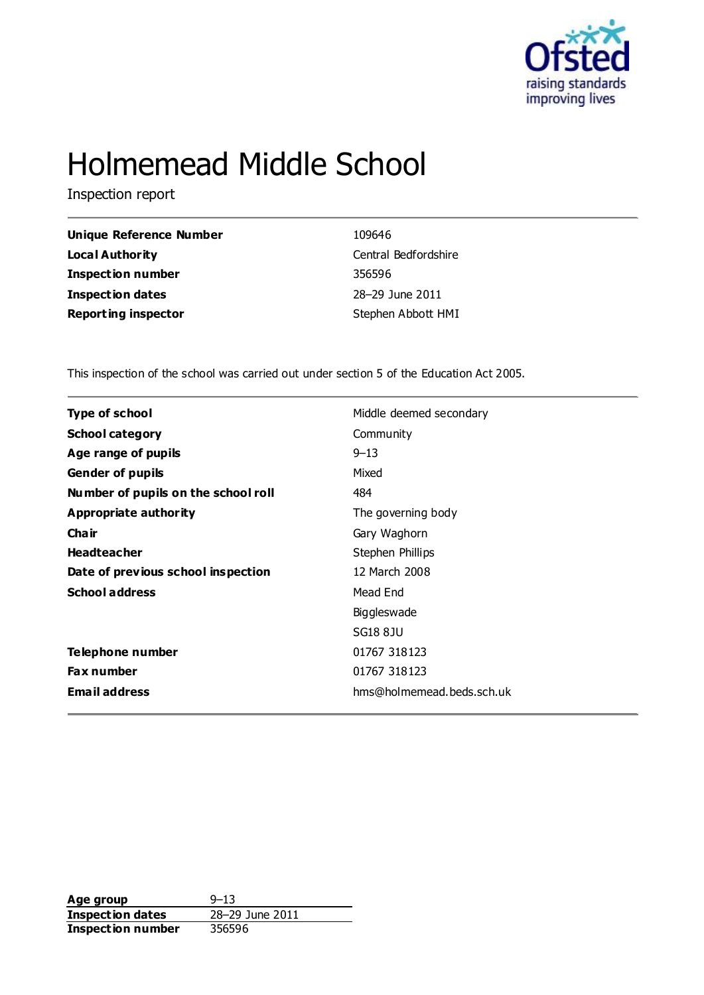

# Holmemead Middle School

Inspection report

| 109646               |
|----------------------|
| Central Bedfordshire |
| 356596               |
| 28-29 June 2011      |
| Stephen Abbott HMI   |
|                      |

This inspection of the school was carried out under section 5 of the Education Act 2005.

| <b>Type of school</b>               | Middle deemed secondary   |
|-------------------------------------|---------------------------|
| <b>School category</b>              | Community                 |
| Age range of pupils                 | $9 - 13$                  |
| <b>Gender of pupils</b>             | Mixed                     |
| Number of pupils on the school roll | 484                       |
| <b>Appropriate authority</b>        | The governing body        |
| Cha ir                              | Gary Waghorn              |
| <b>Headteacher</b>                  | Stephen Phillips          |
| Date of previous school inspection  | 12 March 2008             |
| <b>School address</b>               | Mead End                  |
|                                     | Biggleswade               |
|                                     | SG18 8JU                  |
| <b>Telephone number</b>             | 01767 318123              |
| Fax number                          | 01767 318123              |
| <b>Email address</b>                | hms@holmemead.beds.sch.uk |

**Age group** 9–13<br> **Inspection dates** 28–29 June 2011 **Inspection dates** 28–29 June 2011 **Inspection number** 356596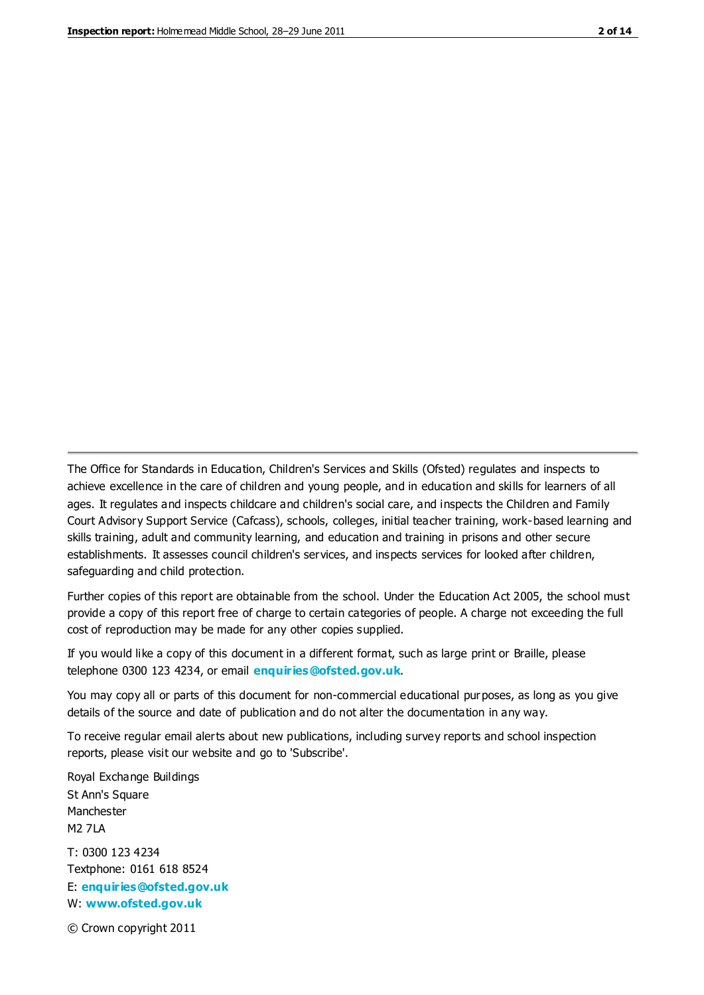The Office for Standards in Education, Children's Services and Skills (Ofsted) regulates and inspects to achieve excellence in the care of children and young people, and in education and skills for learners of all ages. It regulates and inspects childcare and children's social care, and inspects the Children and Family Court Advisory Support Service (Cafcass), schools, colleges, initial teacher training, work-based learning and skills training, adult and community learning, and education and training in prisons and other secure establishments. It assesses council children's services, and inspects services for looked after children, safeguarding and child protection.

Further copies of this report are obtainable from the school. Under the Education Act 2005, the school must provide a copy of this report free of charge to certain categories of people. A charge not exceeding the full cost of reproduction may be made for any other copies supplied.

If you would like a copy of this document in a different format, such as large print or Braille, please telephone 0300 123 4234, or email **[enquiries@ofsted.gov.uk](mailto:enquiries@ofsted.gov.uk)**.

You may copy all or parts of this document for non-commercial educational purposes, as long as you give details of the source and date of publication and do not alter the documentation in any way.

To receive regular email alerts about new publications, including survey reports and school inspection reports, please visit our website and go to 'Subscribe'.

Royal Exchange Buildings St Ann's Square Manchester M2 7LA T: 0300 123 4234 Textphone: 0161 618 8524 E: **[enquiries@ofsted.gov.uk](mailto:enquiries@ofsted.gov.uk)**

W: **[www.ofsted.gov.uk](http://www.ofsted.gov.uk/)**

© Crown copyright 2011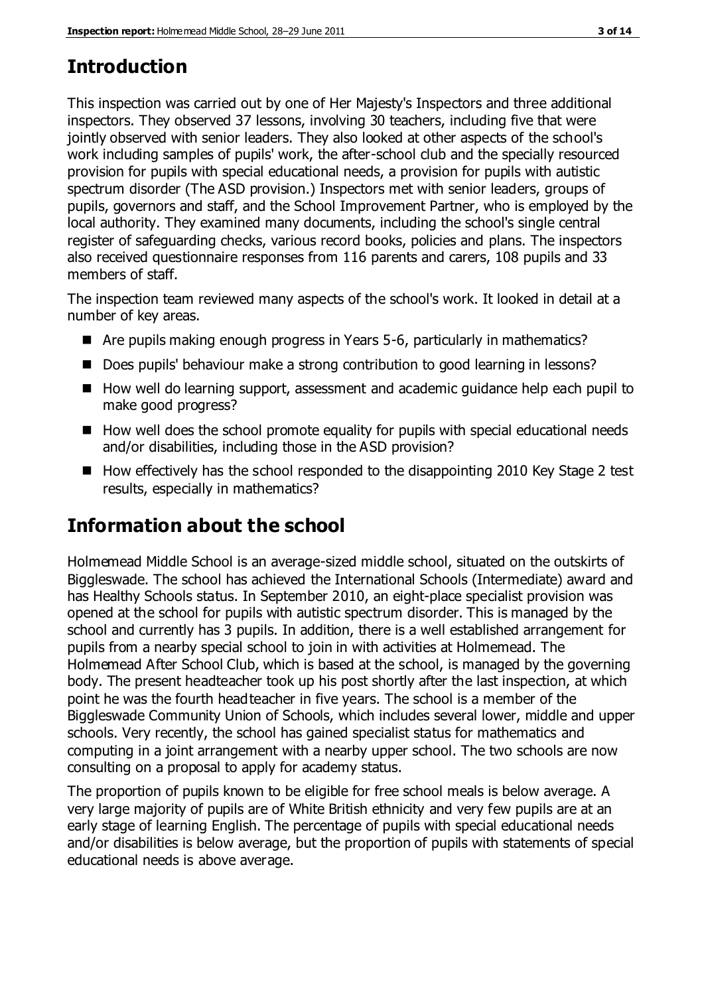# **Introduction**

This inspection was carried out by one of Her Majesty's Inspectors and three additional inspectors. They observed 37 lessons, involving 30 teachers, including five that were jointly observed with senior leaders. They also looked at other aspects of the school's work including samples of pupils' work, the after-school club and the specially resourced provision for pupils with special educational needs, a provision for pupils with autistic spectrum disorder (The ASD provision.) Inspectors met with senior leaders, groups of pupils, governors and staff, and the School Improvement Partner, who is employed by the local authority. They examined many documents, including the school's single central register of safeguarding checks, various record books, policies and plans. The inspectors also received questionnaire responses from 116 parents and carers, 108 pupils and 33 members of staff.

The inspection team reviewed many aspects of the school's work. It looked in detail at a number of key areas.

- Are pupils making enough progress in Years 5-6, particularly in mathematics?
- Does pupils' behaviour make a strong contribution to good learning in lessons?
- How well do learning support, assessment and academic guidance help each pupil to make good progress?
- $\blacksquare$  How well does the school promote equality for pupils with special educational needs and/or disabilities, including those in the ASD provision?
- $\blacksquare$  How effectively has the school responded to the disappointing 2010 Key Stage 2 test results, especially in mathematics?

# **Information about the school**

Holmemead Middle School is an average-sized middle school, situated on the outskirts of Biggleswade. The school has achieved the International Schools (Intermediate) award and has Healthy Schools status. In September 2010, an eight-place specialist provision was opened at the school for pupils with autistic spectrum disorder. This is managed by the school and currently has 3 pupils. In addition, there is a well established arrangement for pupils from a nearby special school to join in with activities at Holmemead. The Holmemead After School Club, which is based at the school, is managed by the governing body. The present headteacher took up his post shortly after the last inspection, at which point he was the fourth headteacher in five years. The school is a member of the Biggleswade Community Union of Schools, which includes several lower, middle and upper schools. Very recently, the school has gained specialist status for mathematics and computing in a joint arrangement with a nearby upper school. The two schools are now consulting on a proposal to apply for academy status.

The proportion of pupils known to be eligible for free school meals is below average. A very large majority of pupils are of White British ethnicity and very few pupils are at an early stage of learning English. The percentage of pupils with special educational needs and/or disabilities is below average, but the proportion of pupils with statements of special educational needs is above average.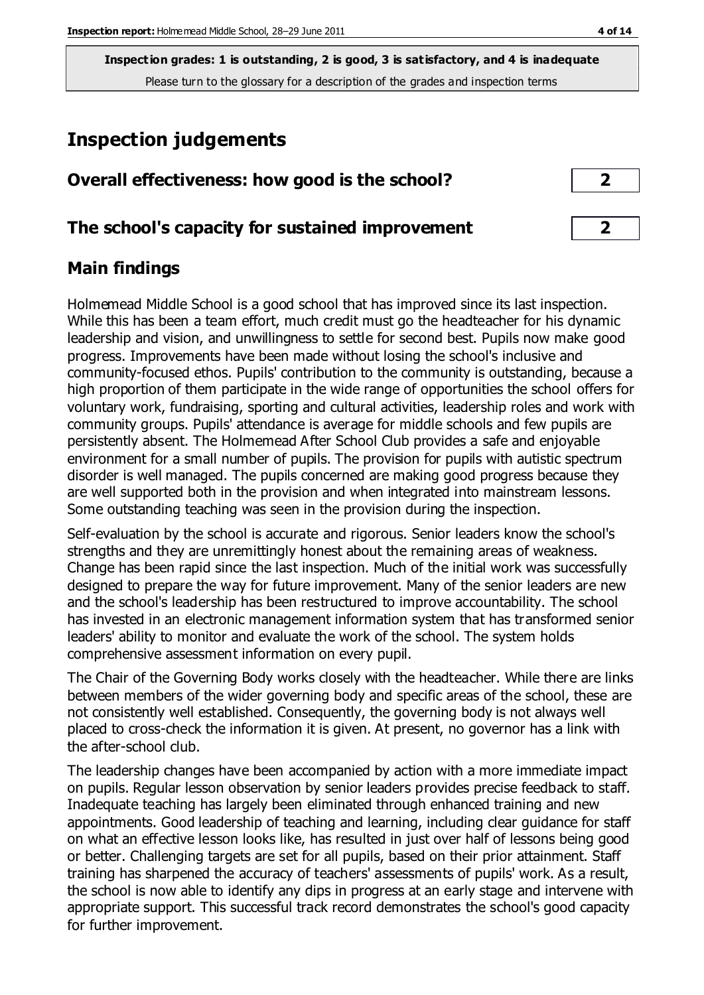# **Inspection judgements**

| Overall effectiveness: how good is the school? |  |
|------------------------------------------------|--|
|                                                |  |

## **The school's capacity for sustained improvement 2**

## **Main findings**

Holmemead Middle School is a good school that has improved since its last inspection. While this has been a team effort, much credit must go the headteacher for his dynamic leadership and vision, and unwillingness to settle for second best. Pupils now make good progress. Improvements have been made without losing the school's inclusive and community-focused ethos. Pupils' contribution to the community is outstanding, because a high proportion of them participate in the wide range of opportunities the school offers for voluntary work, fundraising, sporting and cultural activities, leadership roles and work with community groups. Pupils' attendance is average for middle schools and few pupils are persistently absent. The Holmemead After School Club provides a safe and enjoyable environment for a small number of pupils. The provision for pupils with autistic spectrum disorder is well managed. The pupils concerned are making good progress because they are well supported both in the provision and when integrated into mainstream lessons. Some outstanding teaching was seen in the provision during the inspection.

Self-evaluation by the school is accurate and rigorous. Senior leaders know the school's strengths and they are unremittingly honest about the remaining areas of weakness. Change has been rapid since the last inspection. Much of the initial work was successfully designed to prepare the way for future improvement. Many of the senior leaders are new and the school's leadership has been restructured to improve accountability. The school has invested in an electronic management information system that has transformed senior leaders' ability to monitor and evaluate the work of the school. The system holds comprehensive assessment information on every pupil.

The Chair of the Governing Body works closely with the headteacher. While there are links between members of the wider governing body and specific areas of the school, these are not consistently well established. Consequently, the governing body is not always well placed to cross-check the information it is given. At present, no governor has a link with the after-school club.

The leadership changes have been accompanied by action with a more immediate impact on pupils. Regular lesson observation by senior leaders provides precise feedback to staff. Inadequate teaching has largely been eliminated through enhanced training and new appointments. Good leadership of teaching and learning, including clear guidance for staff on what an effective lesson looks like, has resulted in just over half of lessons being good or better. Challenging targets are set for all pupils, based on their prior attainment. Staff training has sharpened the accuracy of teachers' assessments of pupils' work. As a result, the school is now able to identify any dips in progress at an early stage and intervene with appropriate support. This successful track record demonstrates the school's good capacity for further improvement.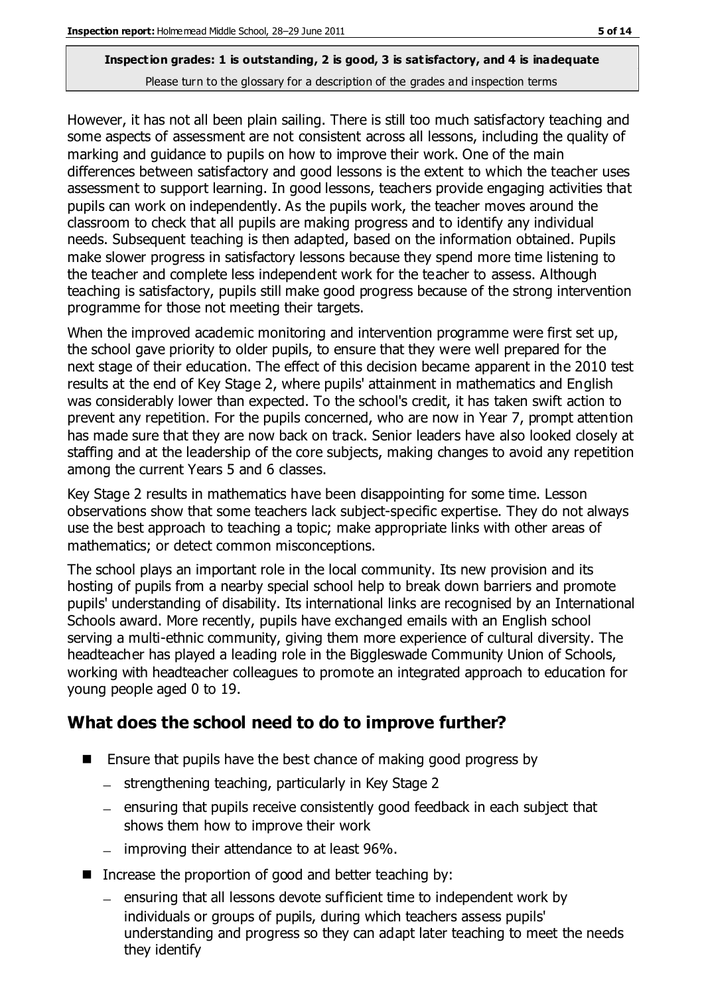However, it has not all been plain sailing. There is still too much satisfactory teaching and some aspects of assessment are not consistent across all lessons, including the quality of marking and guidance to pupils on how to improve their work. One of the main differences between satisfactory and good lessons is the extent to which the teacher uses assessment to support learning. In good lessons, teachers provide engaging activities that pupils can work on independently. As the pupils work, the teacher moves around the classroom to check that all pupils are making progress and to identify any individual needs. Subsequent teaching is then adapted, based on the information obtained. Pupils make slower progress in satisfactory lessons because they spend more time listening to the teacher and complete less independent work for the teacher to assess. Although teaching is satisfactory, pupils still make good progress because of the strong intervention programme for those not meeting their targets.

When the improved academic monitoring and intervention programme were first set up, the school gave priority to older pupils, to ensure that they were well prepared for the next stage of their education. The effect of this decision became apparent in the 2010 test results at the end of Key Stage 2, where pupils' attainment in mathematics and English was considerably lower than expected. To the school's credit, it has taken swift action to prevent any repetition. For the pupils concerned, who are now in Year 7, prompt attention has made sure that they are now back on track. Senior leaders have also looked closely at staffing and at the leadership of the core subjects, making changes to avoid any repetition among the current Years 5 and 6 classes.

Key Stage 2 results in mathematics have been disappointing for some time. Lesson observations show that some teachers lack subject-specific expertise. They do not always use the best approach to teaching a topic; make appropriate links with other areas of mathematics; or detect common misconceptions.

The school plays an important role in the local community. Its new provision and its hosting of pupils from a nearby special school help to break down barriers and promote pupils' understanding of disability. Its international links are recognised by an International Schools award. More recently, pupils have exchanged emails with an English school serving a multi-ethnic community, giving them more experience of cultural diversity. The headteacher has played a leading role in the Biggleswade Community Union of Schools, working with headteacher colleagues to promote an integrated approach to education for young people aged 0 to 19.

## **What does the school need to do to improve further?**

- Ensure that pupils have the best chance of making good progress by
	- strengthening teaching, particularly in Key Stage 2
	- $-$  ensuring that pupils receive consistently good feedback in each subject that shows them how to improve their work
	- $-$  improving their attendance to at least 96%.
- Increase the proportion of good and better teaching by:
	- $-$  ensuring that all lessons devote sufficient time to independent work by individuals or groups of pupils, during which teachers assess pupils' understanding and progress so they can adapt later teaching to meet the needs they identify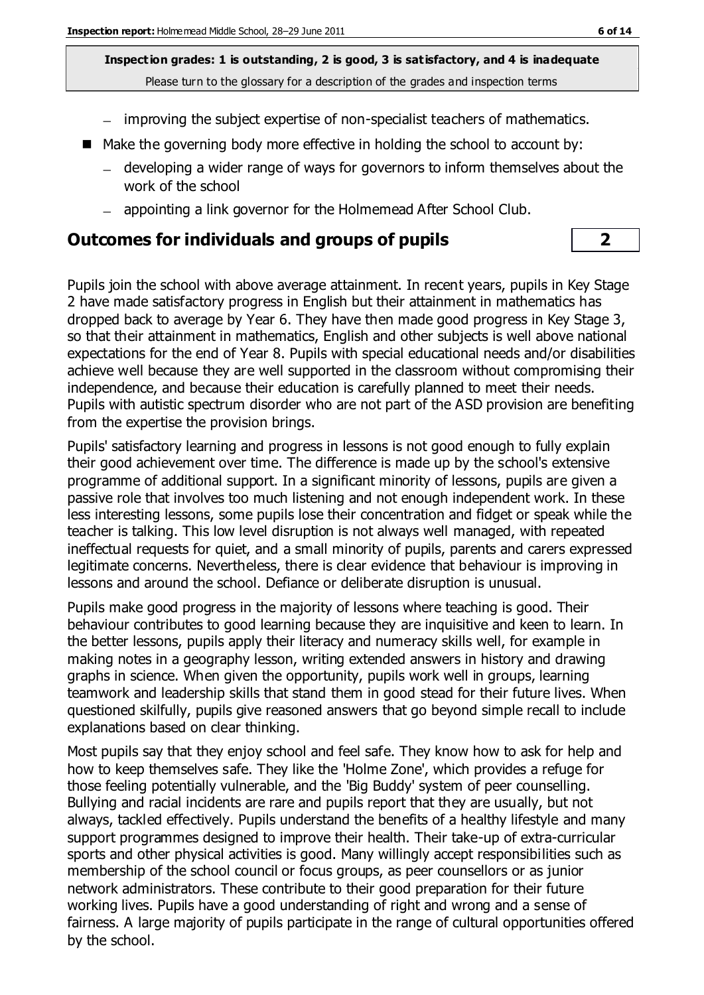- improving the subject expertise of non-specialist teachers of mathematics.
- Make the governing body more effective in holding the school to account by:
	- developing a wider range of ways for governors to inform themselves about the work of the school
	- appointing a link governor for the Holmemead After School Club.

#### **Outcomes for individuals and groups of pupils 2**

Pupils join the school with above average attainment. In recent years, pupils in Key Stage 2 have made satisfactory progress in English but their attainment in mathematics has dropped back to average by Year 6. They have then made good progress in Key Stage 3, so that their attainment in mathematics, English and other subjects is well above national expectations for the end of Year 8. Pupils with special educational needs and/or disabilities achieve well because they are well supported in the classroom without compromising their independence, and because their education is carefully planned to meet their needs. Pupils with autistic spectrum disorder who are not part of the ASD provision are benefiting from the expertise the provision brings.

Pupils' satisfactory learning and progress in lessons is not good enough to fully explain their good achievement over time. The difference is made up by the school's extensive programme of additional support. In a significant minority of lessons, pupils are given a passive role that involves too much listening and not enough independent work. In these less interesting lessons, some pupils lose their concentration and fidget or speak while the teacher is talking. This low level disruption is not always well managed, with repeated ineffectual requests for quiet, and a small minority of pupils, parents and carers expressed legitimate concerns. Nevertheless, there is clear evidence that behaviour is improving in lessons and around the school. Defiance or deliberate disruption is unusual.

Pupils make good progress in the majority of lessons where teaching is good. Their behaviour contributes to good learning because they are inquisitive and keen to learn. In the better lessons, pupils apply their literacy and numeracy skills well, for example in making notes in a geography lesson, writing extended answers in history and drawing graphs in science. When given the opportunity, pupils work well in groups, learning teamwork and leadership skills that stand them in good stead for their future lives. When questioned skilfully, pupils give reasoned answers that go beyond simple recall to include explanations based on clear thinking.

Most pupils say that they enjoy school and feel safe. They know how to ask for help and how to keep themselves safe. They like the 'Holme Zone', which provides a refuge for those feeling potentially vulnerable, and the 'Big Buddy' system of peer counselling. Bullying and racial incidents are rare and pupils report that they are usually, but not always, tackled effectively. Pupils understand the benefits of a healthy lifestyle and many support programmes designed to improve their health. Their take-up of extra-curricular sports and other physical activities is good. Many willingly accept responsibilities such as membership of the school council or focus groups, as peer counsellors or as junior network administrators. These contribute to their good preparation for their future working lives. Pupils have a good understanding of right and wrong and a sense of fairness. A large majority of pupils participate in the range of cultural opportunities offered by the school.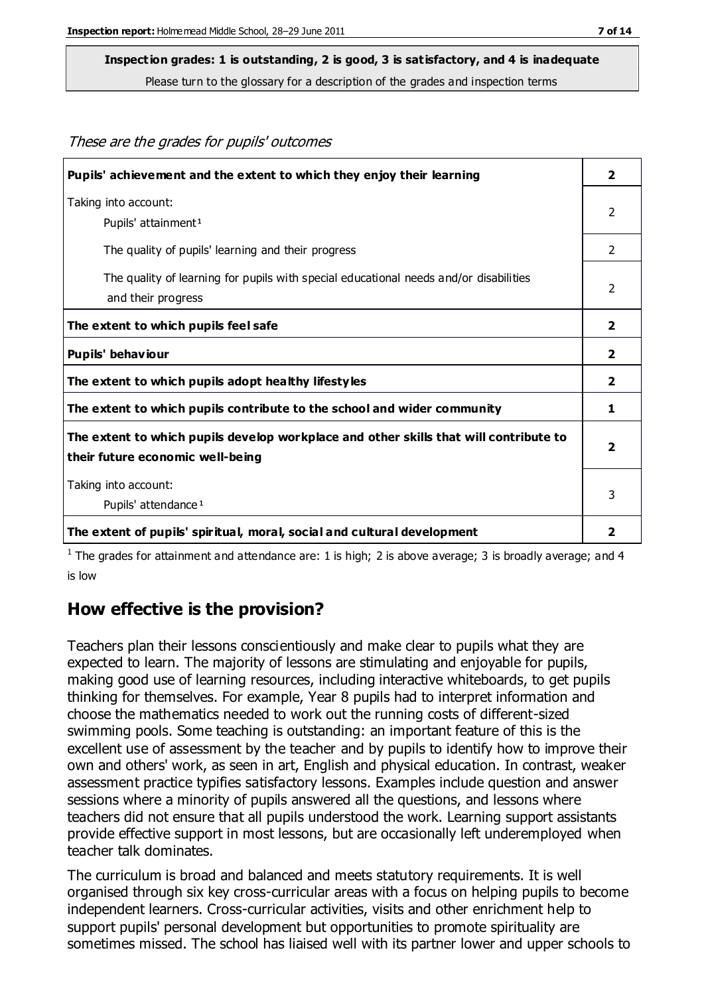These are the grades for pupils' outcomes

#### **Inspection grades: 1 is outstanding, 2 is good, 3 is satisfactory, and 4 is inadequate**

Please turn to the glossary for a description of the grades and inspection terms

| Pupils' achievement and the extent to which they enjoy their learning                                                     | $\overline{\mathbf{2}}$ |
|---------------------------------------------------------------------------------------------------------------------------|-------------------------|
| Taking into account:<br>Pupils' attainment <sup>1</sup>                                                                   | 2                       |
| The quality of pupils' learning and their progress                                                                        | 2                       |
| The quality of learning for pupils with special educational needs and/or disabilities<br>and their progress               | 2                       |
| The extent to which pupils feel safe                                                                                      | $\overline{\mathbf{2}}$ |
| Pupils' behaviour                                                                                                         | $\overline{2}$          |
| The extent to which pupils adopt healthy lifestyles                                                                       | 2                       |
| The extent to which pupils contribute to the school and wider community                                                   | 1                       |
| The extent to which pupils develop workplace and other skills that will contribute to<br>their future economic well-being |                         |
| Taking into account:<br>Pupils' attendance <sup>1</sup>                                                                   | 3                       |
| The extent of pupils' spiritual, moral, social and cultural development                                                   | 2                       |

<sup>1</sup> The grades for attainment and attendance are: 1 is high; 2 is above average; 3 is broadly average; and 4 is low

#### **How effective is the provision?**

Teachers plan their lessons conscientiously and make clear to pupils what they are expected to learn. The majority of lessons are stimulating and enjoyable for pupils, making good use of learning resources, including interactive whiteboards, to get pupils thinking for themselves. For example, Year 8 pupils had to interpret information and choose the mathematics needed to work out the running costs of different-sized swimming pools. Some teaching is outstanding: an important feature of this is the excellent use of assessment by the teacher and by pupils to identify how to improve their own and others' work, as seen in art, English and physical education. In contrast, weaker assessment practice typifies satisfactory lessons. Examples include question and answer sessions where a minority of pupils answered all the questions, and lessons where teachers did not ensure that all pupils understood the work. Learning support assistants provide effective support in most lessons, but are occasionally left underemployed when teacher talk dominates.

The curriculum is broad and balanced and meets statutory requirements. It is well organised through six key cross-curricular areas with a focus on helping pupils to become independent learners. Cross-curricular activities, visits and other enrichment help to support pupils' personal development but opportunities to promote spirituality are sometimes missed. The school has liaised well with its partner lower and upper schools to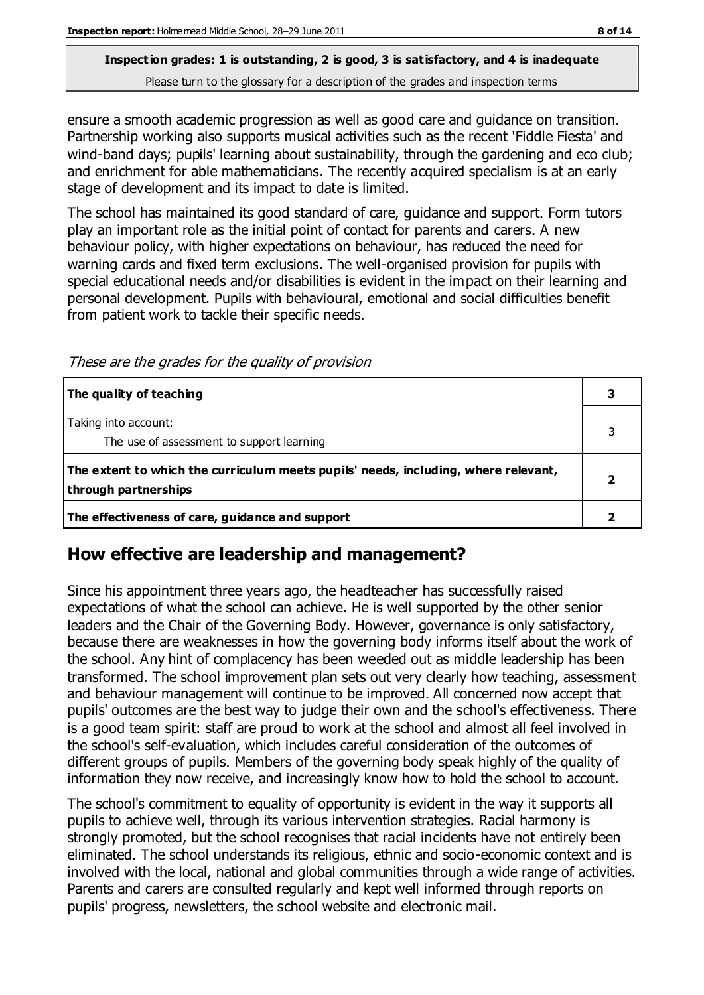# **Inspection grades: 1 is outstanding, 2 is good, 3 is satisfactory, and 4 is inadequate**

Please turn to the glossary for a description of the grades and inspection terms

ensure a smooth academic progression as well as good care and guidance on transition. Partnership working also supports musical activities such as the recent 'Fiddle Fiesta' and wind-band days; pupils' learning about sustainability, through the gardening and eco club; and enrichment for able mathematicians. The recently acquired specialism is at an early stage of development and its impact to date is limited.

The school has maintained its good standard of care, guidance and support. Form tutors play an important role as the initial point of contact for parents and carers. A new behaviour policy, with higher expectations on behaviour, has reduced the need for warning cards and fixed term exclusions. The well-organised provision for pupils with special educational needs and/or disabilities is evident in the impact on their learning and personal development. Pupils with behavioural, emotional and social difficulties benefit from patient work to tackle their specific needs.

These are the grades for the quality of provision

| The quality of teaching                                                                                    |  |
|------------------------------------------------------------------------------------------------------------|--|
| Taking into account:<br>The use of assessment to support learning                                          |  |
| The extent to which the curriculum meets pupils' needs, including, where relevant,<br>through partnerships |  |
| The effectiveness of care, guidance and support                                                            |  |

#### **How effective are leadership and management?**

Since his appointment three years ago, the headteacher has successfully raised expectations of what the school can achieve. He is well supported by the other senior leaders and the Chair of the Governing Body. However, governance is only satisfactory, because there are weaknesses in how the governing body informs itself about the work of the school. Any hint of complacency has been weeded out as middle leadership has been transformed. The school improvement plan sets out very clearly how teaching, assessment and behaviour management will continue to be improved. All concerned now accept that pupils' outcomes are the best way to judge their own and the school's effectiveness. There is a good team spirit: staff are proud to work at the school and almost all feel involved in the school's self-evaluation, which includes careful consideration of the outcomes of different groups of pupils. Members of the governing body speak highly of the quality of information they now receive, and increasingly know how to hold the school to account.

The school's commitment to equality of opportunity is evident in the way it supports all pupils to achieve well, through its various intervention strategies. Racial harmony is strongly promoted, but the school recognises that racial incidents have not entirely been eliminated. The school understands its religious, ethnic and socio-economic context and is involved with the local, national and global communities through a wide range of activities. Parents and carers are consulted regularly and kept well informed through reports on pupils' progress, newsletters, the school website and electronic mail.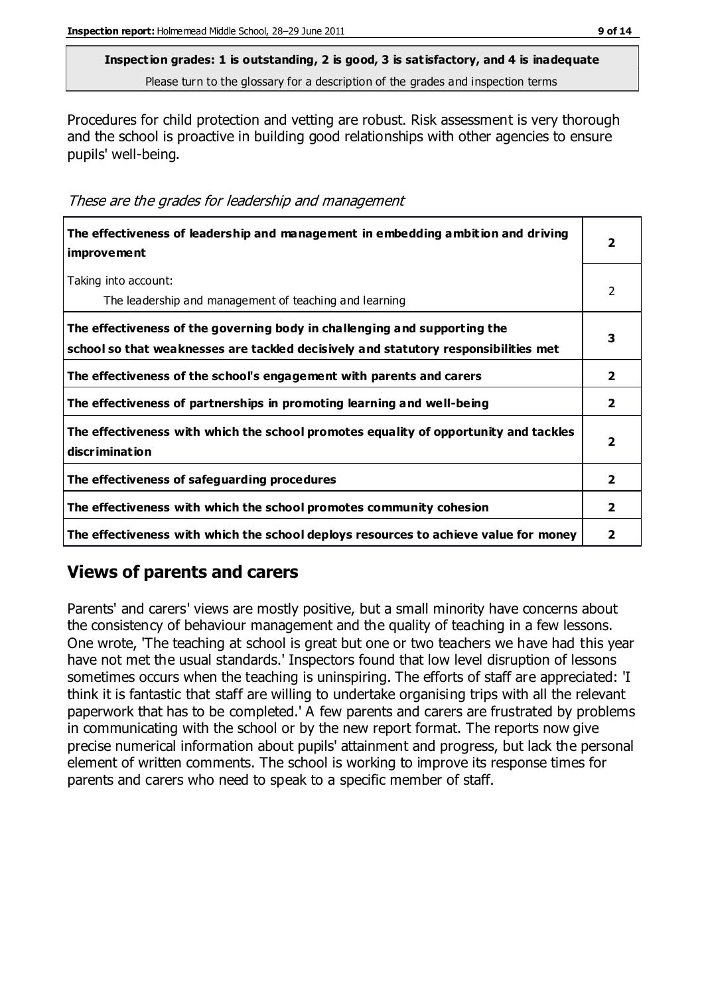Procedures for child protection and vetting are robust. Risk assessment is very thorough and the school is proactive in building good relationships with other agencies to ensure pupils' well-being.

These are the grades for leadership and management

| The effectiveness of leadership and management in embedding ambition and driving<br><i>improvement</i>                                                           | $\overline{\mathbf{2}}$ |
|------------------------------------------------------------------------------------------------------------------------------------------------------------------|-------------------------|
| Taking into account:<br>The leadership and management of teaching and learning                                                                                   | 2                       |
| The effectiveness of the governing body in challenging and supporting the<br>school so that weaknesses are tackled decisively and statutory responsibilities met | 3                       |
| The effectiveness of the school's engagement with parents and carers                                                                                             | $\overline{\mathbf{2}}$ |
| The effectiveness of partnerships in promoting learning and well-being                                                                                           | $\overline{\mathbf{2}}$ |
| The effectiveness with which the school promotes equality of opportunity and tackles<br>discrimination                                                           | $\overline{\mathbf{2}}$ |
| The effectiveness of safeguarding procedures                                                                                                                     | $\mathbf{2}$            |
| The effectiveness with which the school promotes community cohesion                                                                                              | $\mathbf{2}$            |
| The effectiveness with which the school deploys resources to achieve value for money                                                                             | 2                       |

## **Views of parents and carers**

Parents' and carers' views are mostly positive, but a small minority have concerns about the consistency of behaviour management and the quality of teaching in a few lessons. One wrote, 'The teaching at school is great but one or two teachers we have had this year have not met the usual standards.' Inspectors found that low level disruption of lessons sometimes occurs when the teaching is uninspiring. The efforts of staff are appreciated: 'I think it is fantastic that staff are willing to undertake organising trips with all the relevant paperwork that has to be completed.' A few parents and carers are frustrated by problems in communicating with the school or by the new report format. The reports now give precise numerical information about pupils' attainment and progress, but lack the personal element of written comments. The school is working to improve its response times for parents and carers who need to speak to a specific member of staff.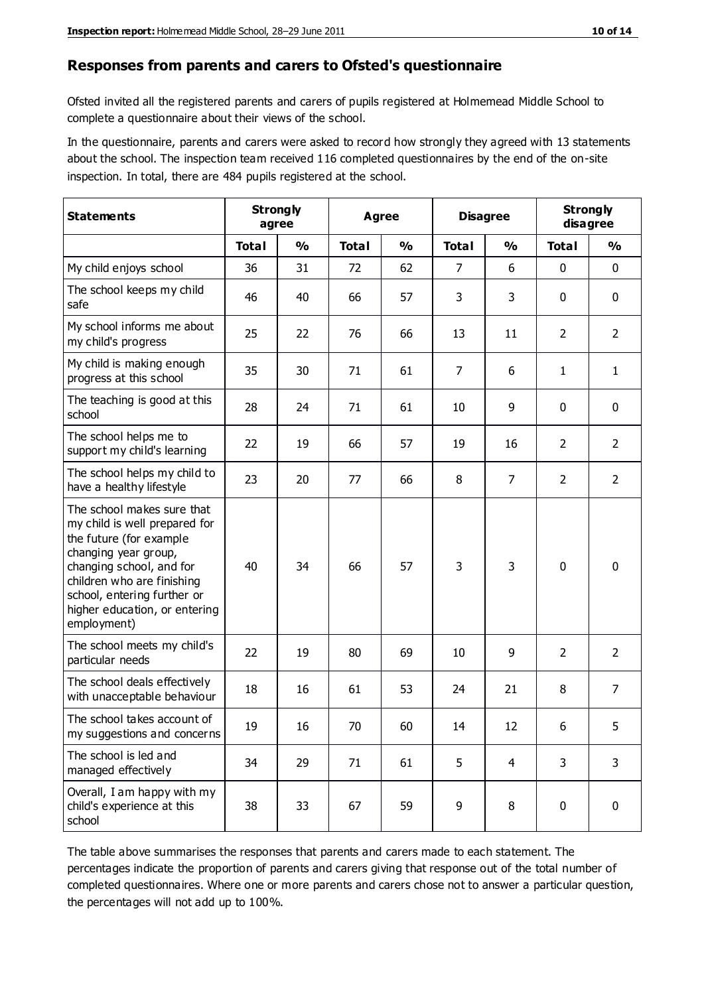#### **Responses from parents and carers to Ofsted's questionnaire**

Ofsted invited all the registered parents and carers of pupils registered at Holmemead Middle School to complete a questionnaire about their views of the school.

In the questionnaire, parents and carers were asked to record how strongly they agreed with 13 statements about the school. The inspection team received 116 completed questionnaires by the end of the on-site inspection. In total, there are 484 pupils registered at the school.

| <b>Statements</b>                                                                                                                                                                                                                                       | <b>Strongly</b><br>agree |               | <b>Agree</b> |               |                | <b>Disagree</b> |                | <b>Strongly</b><br>disagree |  |
|---------------------------------------------------------------------------------------------------------------------------------------------------------------------------------------------------------------------------------------------------------|--------------------------|---------------|--------------|---------------|----------------|-----------------|----------------|-----------------------------|--|
|                                                                                                                                                                                                                                                         | <b>Total</b>             | $\frac{0}{0}$ | <b>Total</b> | $\frac{0}{0}$ | <b>Total</b>   | $\frac{0}{0}$   | <b>Total</b>   | $\frac{9}{6}$               |  |
| My child enjoys school                                                                                                                                                                                                                                  | 36                       | 31            | 72           | 62            | 7              | 6               | $\mathbf 0$    | $\mathbf 0$                 |  |
| The school keeps my child<br>safe                                                                                                                                                                                                                       | 46                       | 40            | 66           | 57            | 3              | 3               | $\mathbf 0$    | $\mathbf 0$                 |  |
| My school informs me about<br>my child's progress                                                                                                                                                                                                       | 25                       | 22            | 76           | 66            | 13             | 11              | $\overline{2}$ | $\overline{2}$              |  |
| My child is making enough<br>progress at this school                                                                                                                                                                                                    | 35                       | 30            | 71           | 61            | $\overline{7}$ | 6               | 1              | $\mathbf{1}$                |  |
| The teaching is good at this<br>school                                                                                                                                                                                                                  | 28                       | 24            | 71           | 61            | 10             | 9               | $\mathbf 0$    | $\mathbf 0$                 |  |
| The school helps me to<br>support my child's learning                                                                                                                                                                                                   | 22                       | 19            | 66           | 57            | 19             | 16              | $\overline{2}$ | $\overline{2}$              |  |
| The school helps my child to<br>have a healthy lifestyle                                                                                                                                                                                                | 23                       | 20            | 77           | 66            | 8              | $\overline{7}$  | $\overline{2}$ | $\overline{2}$              |  |
| The school makes sure that<br>my child is well prepared for<br>the future (for example<br>changing year group,<br>changing school, and for<br>children who are finishing<br>school, entering further or<br>higher education, or entering<br>employment) | 40                       | 34            | 66           | 57            | 3              | 3               | $\mathbf 0$    | $\mathbf 0$                 |  |
| The school meets my child's<br>particular needs                                                                                                                                                                                                         | 22                       | 19            | 80           | 69            | 10             | 9               | $\overline{2}$ | $\overline{2}$              |  |
| The school deals effectively<br>with unacceptable behaviour                                                                                                                                                                                             | 18                       | 16            | 61           | 53            | 24             | 21              | 8              | 7                           |  |
| The school takes account of<br>my suggestions and concerns                                                                                                                                                                                              | 19                       | 16            | $70\,$       | 60            | 14             | 12              | 6              | 5                           |  |
| The school is led and<br>managed effectively                                                                                                                                                                                                            | 34                       | 29            | 71           | 61            | 5              | $\overline{4}$  | 3              | 3                           |  |
| Overall, I am happy with my<br>child's experience at this<br>school                                                                                                                                                                                     | 38                       | 33            | 67           | 59            | 9              | 8               | $\mathbf 0$    | $\mathbf 0$                 |  |

The table above summarises the responses that parents and carers made to each statement. The percentages indicate the proportion of parents and carers giving that response out of the total number of completed questionnaires. Where one or more parents and carers chose not to answer a particular question, the percentages will not add up to 100%.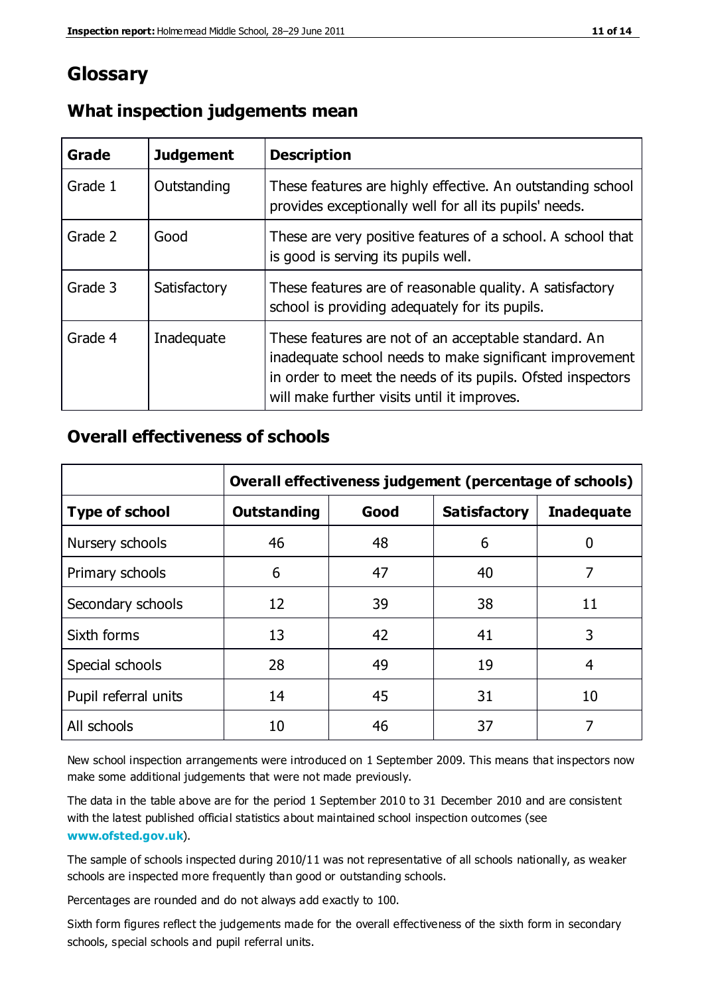## **Glossary**

| Grade   | <b>Judgement</b> | <b>Description</b>                                                                                                                                                                                                            |
|---------|------------------|-------------------------------------------------------------------------------------------------------------------------------------------------------------------------------------------------------------------------------|
| Grade 1 | Outstanding      | These features are highly effective. An outstanding school<br>provides exceptionally well for all its pupils' needs.                                                                                                          |
| Grade 2 | Good             | These are very positive features of a school. A school that<br>is good is serving its pupils well.                                                                                                                            |
| Grade 3 | Satisfactory     | These features are of reasonable quality. A satisfactory<br>school is providing adequately for its pupils.                                                                                                                    |
| Grade 4 | Inadequate       | These features are not of an acceptable standard. An<br>inadequate school needs to make significant improvement<br>in order to meet the needs of its pupils. Ofsted inspectors<br>will make further visits until it improves. |

#### **What inspection judgements mean**

#### **Overall effectiveness of schools**

|                       | Overall effectiveness judgement (percentage of schools) |      |                     |                   |
|-----------------------|---------------------------------------------------------|------|---------------------|-------------------|
| <b>Type of school</b> | <b>Outstanding</b>                                      | Good | <b>Satisfactory</b> | <b>Inadequate</b> |
| Nursery schools       | 46                                                      | 48   | 6                   |                   |
| Primary schools       | 6                                                       | 47   | 40                  | 7                 |
| Secondary schools     | 12                                                      | 39   | 38                  | 11                |
| Sixth forms           | 13                                                      | 42   | 41                  | 3                 |
| Special schools       | 28                                                      | 49   | 19                  | 4                 |
| Pupil referral units  | 14                                                      | 45   | 31                  | 10                |
| All schools           | 10                                                      | 46   | 37                  |                   |

New school inspection arrangements were introduced on 1 September 2009. This means that inspectors now make some additional judgements that were not made previously.

The data in the table above are for the period 1 September 2010 to 31 December 2010 and are consistent with the latest published official statistics about maintained school inspection outcomes (see **[www.ofsted.gov.uk](http://www.ofsted.gov.uk/)**).

The sample of schools inspected during 2010/11 was not representative of all schools nationally, as weaker schools are inspected more frequently than good or outstanding schools.

Percentages are rounded and do not always add exactly to 100.

Sixth form figures reflect the judgements made for the overall effectiveness of the sixth form in secondary schools, special schools and pupil referral units.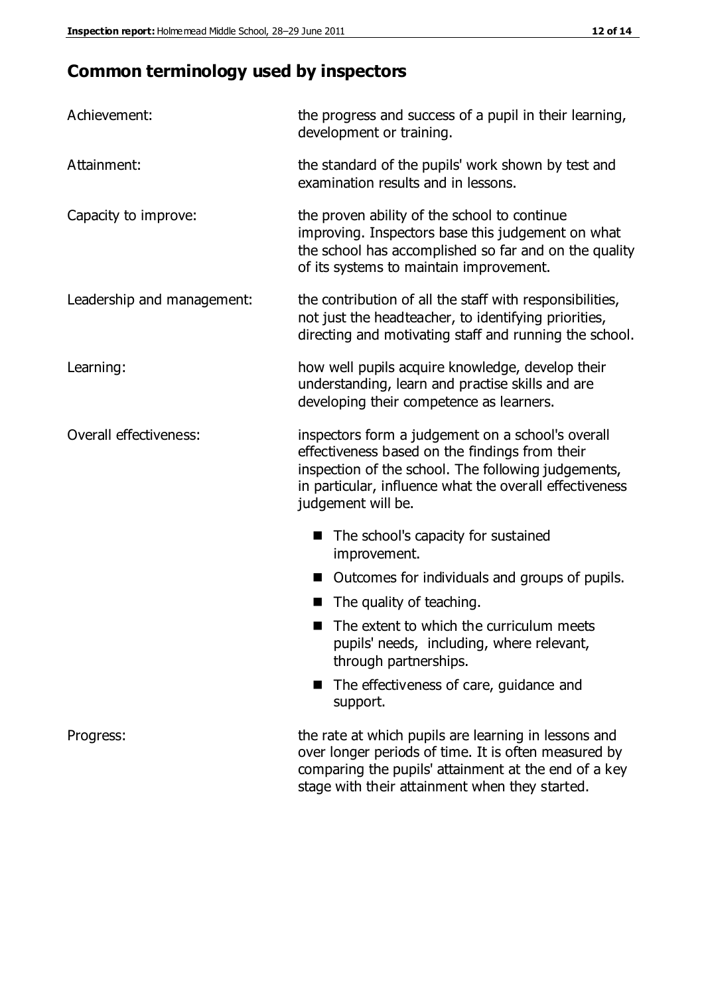# **Common terminology used by inspectors**

| Achievement:                  | the progress and success of a pupil in their learning,<br>development or training.                                                                                                                                                          |  |  |
|-------------------------------|---------------------------------------------------------------------------------------------------------------------------------------------------------------------------------------------------------------------------------------------|--|--|
| Attainment:                   | the standard of the pupils' work shown by test and<br>examination results and in lessons.                                                                                                                                                   |  |  |
| Capacity to improve:          | the proven ability of the school to continue<br>improving. Inspectors base this judgement on what<br>the school has accomplished so far and on the quality<br>of its systems to maintain improvement.                                       |  |  |
| Leadership and management:    | the contribution of all the staff with responsibilities,<br>not just the headteacher, to identifying priorities,<br>directing and motivating staff and running the school.                                                                  |  |  |
| Learning:                     | how well pupils acquire knowledge, develop their<br>understanding, learn and practise skills and are<br>developing their competence as learners.                                                                                            |  |  |
| <b>Overall effectiveness:</b> | inspectors form a judgement on a school's overall<br>effectiveness based on the findings from their<br>inspection of the school. The following judgements,<br>in particular, influence what the overall effectiveness<br>judgement will be. |  |  |
|                               | The school's capacity for sustained<br>improvement.                                                                                                                                                                                         |  |  |
|                               | Outcomes for individuals and groups of pupils.                                                                                                                                                                                              |  |  |
|                               | The quality of teaching.                                                                                                                                                                                                                    |  |  |
|                               | The extent to which the curriculum meets<br>pupils' needs, including, where relevant,<br>through partnerships.                                                                                                                              |  |  |
|                               | The effectiveness of care, guidance and<br>support.                                                                                                                                                                                         |  |  |
| Progress:                     | the rate at which pupils are learning in lessons and<br>over longer periods of time. It is often measured by<br>comparing the pupils' attainment at the end of a key                                                                        |  |  |

stage with their attainment when they started.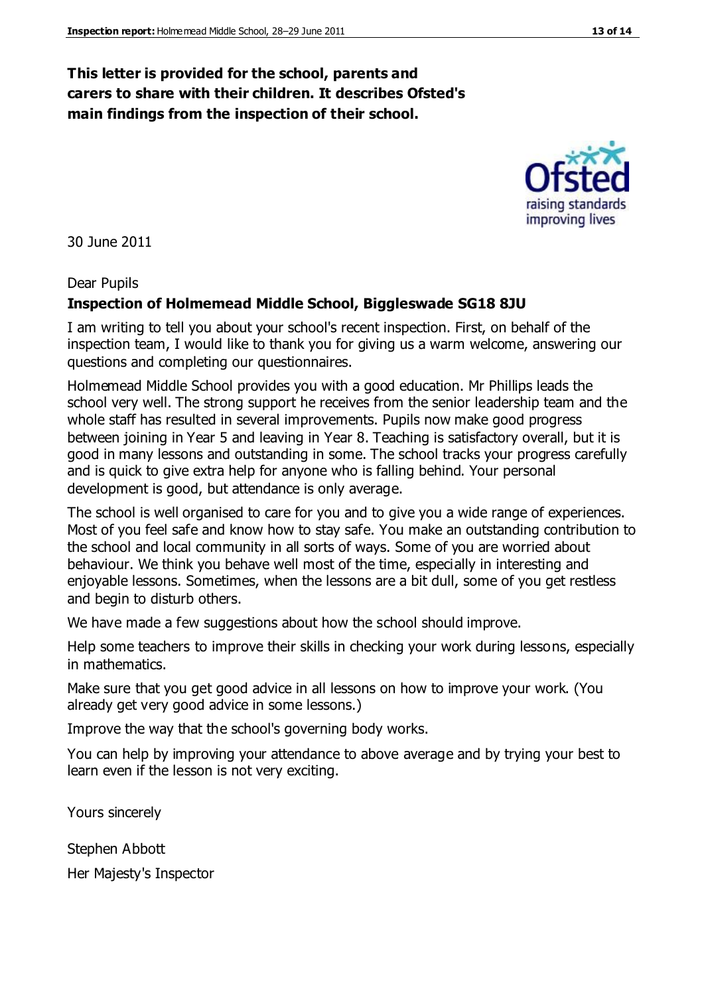#### **This letter is provided for the school, parents and carers to share with their children. It describes Ofsted's main findings from the inspection of their school.**

30 June 2011

#### Dear Pupils

#### **Inspection of Holmemead Middle School, Biggleswade SG18 8JU**

I am writing to tell you about your school's recent inspection. First, on behalf of the inspection team, I would like to thank you for giving us a warm welcome, answering our questions and completing our questionnaires.

Holmemead Middle School provides you with a good education. Mr Phillips leads the school very well. The strong support he receives from the senior leadership team and the whole staff has resulted in several improvements. Pupils now make good progress between joining in Year 5 and leaving in Year 8. Teaching is satisfactory overall, but it is good in many lessons and outstanding in some. The school tracks your progress carefully and is quick to give extra help for anyone who is falling behind. Your personal development is good, but attendance is only average.

The school is well organised to care for you and to give you a wide range of experiences. Most of you feel safe and know how to stay safe. You make an outstanding contribution to the school and local community in all sorts of ways. Some of you are worried about behaviour. We think you behave well most of the time, especially in interesting and enjoyable lessons. Sometimes, when the lessons are a bit dull, some of you get restless and begin to disturb others.

We have made a few suggestions about how the school should improve.

Help some teachers to improve their skills in checking your work during lessons, especially in mathematics.

Make sure that you get good advice in all lessons on how to improve your work. (You already get very good advice in some lessons.)

Improve the way that the school's governing body works.

You can help by improving your attendance to above average and by trying your best to learn even if the lesson is not very exciting.

Yours sincerely

Stephen Abbott

Her Majesty's Inspector